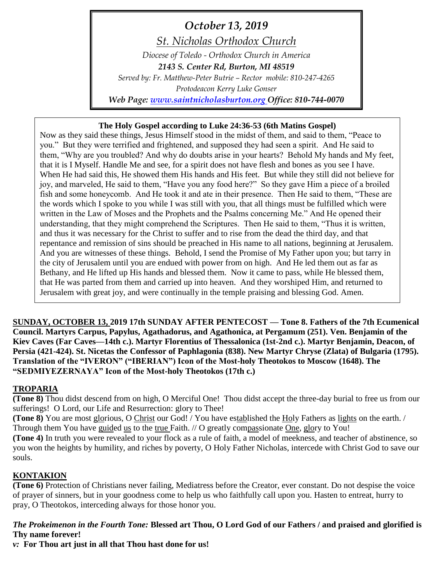*October 13, 2019*

*St. Nicholas Orthodox Church*

*Diocese of Toledo - Orthodox Church in America*

*2143 S. Center Rd, Burton, MI 48519*

*Served by: Fr. Matthew-Peter Butrie – Rector mobile: 810-247-4265 Protodeacon Kerry Luke Gonser*

*Web Page: [www.saintnicholasburton.org](http://www.saintnicholasburton.org/) Office: 810-744-0070 e-mail: [stnicholasburtonmi@gmail.com](mailto:stnicholasburtonmi@gmail.com)*

## **The Holy Gospel according to Luke 24:36-53 (6th Matins Gospel)**

Now as they said these things, Jesus Himself stood in the midst of them, and said to them, "Peace to you." But they were terrified and frightened, and supposed they had seen a spirit. And He said to them, "Why are you troubled? And why do doubts arise in your hearts? Behold My hands and My feet, that it is I Myself. Handle Me and see, for a spirit does not have flesh and bones as you see I have. When He had said this, He showed them His hands and His feet. But while they still did not believe for joy, and marveled, He said to them, "Have you any food here?" So they gave Him a piece of a broiled fish and some honeycomb. And He took it and ate in their presence. Then He said to them, "These are the words which I spoke to you while I was still with you, that all things must be fulfilled which were written in the Law of Moses and the Prophets and the Psalms concerning Me." And He opened their understanding, that they might comprehend the Scriptures. Then He said to them, "Thus it is written, and thus it was necessary for the Christ to suffer and to rise from the dead the third day, and that repentance and remission of sins should be preached in His name to all nations, beginning at Jerusalem. And you are witnesses of these things. Behold, I send the Promise of My Father upon you; but tarry in the city of Jerusalem until you are endued with power from on high. And He led them out as far as Bethany, and He lifted up His hands and blessed them. Now it came to pass, while He blessed them, that He was parted from them and carried up into heaven. And they worshiped Him, and returned to Jerusalem with great joy, and were continually in the temple praising and blessing God. Amen.

**SUNDAY, OCTOBER 13, 2019 17th SUNDAY AFTER PENTECOST — Tone 8. Fathers of the 7th Ecumenical Council. Martyrs Carpus, Papylus, Agathadorus, and Agathonica, at Pergamum (251). Ven. Benjamin of the Kiev Caves (Far Caves—14th c.). Martyr Florentius of Thessalonica (1st-2nd c.). Martyr Benjamin, Deacon, of Persia (421-424). St. Nicetas the Confessor of Paphlagonia (838). New Martyr Chryse (Zlata) of Bulgaria (1795). Translation of the "IVERON" ("IBERIAN") Icon of the Most-holy Theotokos to Moscow (1648). The "SEDMIYEZERNAYA" Icon of the Most-holy Theotokos (17th c.)**

# **TROPARIA**

**(Tone 8)** Thou didst descend from on high, O Merciful One! Thou didst accept the three-day burial to free us from our sufferings! O Lord, our Life and Resurrection: glory to Thee!

**(Tone 8)** You are most glorious, O Christ our God! / You have established the Holy Fathers as lights on the earth. / Through them You have guided us to the true Faith. // O greatly compassionate One, glory to You!

**(Tone 4)** In truth you were revealed to your flock as a rule of faith, a model of meekness, and teacher of abstinence, so you won the heights by humility, and riches by poverty, O Holy Father Nicholas, intercede with Christ God to save our souls.

# **KONTAKION**

**(Tone 6)** Protection of Christians never failing, Mediatress before the Creator, ever constant. Do not despise the voice of prayer of sinners, but in your goodness come to help us who faithfully call upon you. Hasten to entreat, hurry to pray, O Theotokos, interceding always for those honor you.

### *The Prokeimenon in the Fourth Tone:* **Blessed art Thou, O Lord God of our Fathers / and praised and glorified is Thy name forever!**

*v:* **For Thou art just in all that Thou hast done for us!**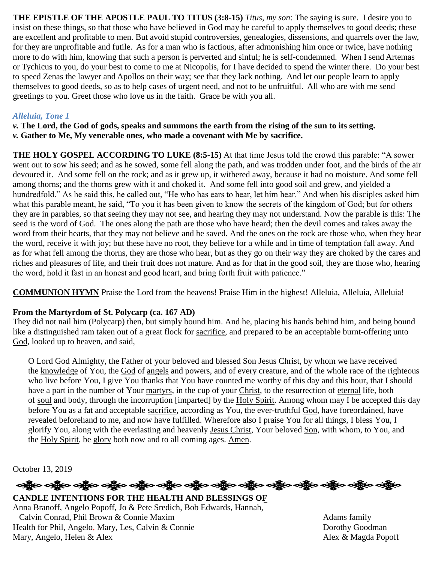**THE EPISTLE OF THE APOSTLE PAUL TO TITUS (3:8-15)** *Titus, my son*: The saying is sure. I desire you to insist on these things, so that those who have believed in God may be careful to apply themselves to good deeds; these are excellent and profitable to men. But avoid stupid controversies, genealogies, dissensions, and quarrels over the law, for they are unprofitable and futile. As for a man who is factious, after admonishing him once or twice, have nothing more to do with him, knowing that such a person is perverted and sinful; he is self-condemned. When I send Artemas or Tychicus to you, do your best to come to me at Nicopolis, for I have decided to spend the winter there. Do your best to speed Zenas the lawyer and Apollos on their way; see that they lack nothing. And let our people learn to apply themselves to good deeds, so as to help cases of urgent need, and not to be unfruitful. All who are with me send greetings to you. Greet those who love us in the faith. Grace be with you all.

### *Alleluia, Tone 1*

*v.* **The Lord, the God of gods, speaks and summons the earth from the rising of the sun to its setting.** *v.* **Gather to Me, My venerable ones, who made a covenant with Me by sacrifice.**

**THE HOLY GOSPEL ACCORDING TO LUKE (8:5-15)** At that time Jesus told the crowd this parable: "A sower went out to sow his seed; and as he sowed, some fell along the path, and was trodden under foot, and the birds of the air devoured it. And some fell on the rock; and as it grew up, it withered away, because it had no moisture. And some fell among thorns; and the thorns grew with it and choked it. And some fell into good soil and grew, and yielded a hundredfold." As he said this, he called out, "He who has ears to hear, let him hear." And when his disciples asked him what this parable meant, he said, "To you it has been given to know the secrets of the kingdom of God; but for others they are in parables, so that seeing they may not see, and hearing they may not understand. Now the parable is this: The seed is the word of God. The ones along the path are those who have heard; then the devil comes and takes away the word from their hearts, that they may not believe and be saved. And the ones on the rock are those who, when they hear the word, receive it with joy; but these have no root, they believe for a while and in time of temptation fall away. And as for what fell among the thorns, they are those who hear, but as they go on their way they are choked by the cares and riches and pleasures of life, and their fruit does not mature. And as for that in the good soil, they are those who, hearing the word, hold it fast in an honest and good heart, and bring forth fruit with patience."

**COMMUNION HYMN** Praise the Lord from the heavens! Praise Him in the highest! Alleluia, Alleluia, Alleluia!

#### **From the Martyrdom of St. Polycarp (ca. 167 AD)**

They did not nail him (Polycarp) then, but simply bound him. And he, placing his hands behind him, and being bound like a distinguished ram taken out of a great flock for [sacrifice,](http://www.newadvent.org/cathen/13309a.htm) and prepared to be an acceptable burnt-offering unto [God,](http://www.newadvent.org/cathen/06608a.htm) looked up to heaven, and said,

O Lord God Almighty, the Father of your beloved and blessed Son [Jesus Christ,](http://www.newadvent.org/cathen/08374c.htm) by whom we have received the [knowledge](http://www.newadvent.org/cathen/08673a.htm) of You, the [God](http://www.newadvent.org/cathen/06608a.htm) of [angels](http://www.newadvent.org/cathen/01476d.htm) and powers, and of every creature, and of the whole race of the righteous who live before You, I give You thanks that You have counted me worthy of this day and this hour, that I should have a part in the number of Your [martyrs,](http://www.newadvent.org/cathen/09736b.htm) in the cup of your [Christ,](http://www.newadvent.org/cathen/08374c.htm) to the resurrection of [eternal](http://www.newadvent.org/cathen/05551b.htm) life, both of [soul](http://www.newadvent.org/cathen/14153a.htm) and body, through the incorruption [imparted] by the [Holy Spirit.](http://www.newadvent.org/cathen/07409a.htm) Among whom may I be accepted this day before You as a fat and acceptable [sacrifice,](http://www.newadvent.org/cathen/13309a.htm) according as You, the ever-truthful [God,](http://www.newadvent.org/cathen/06608a.htm) have foreordained, have revealed beforehand to me, and now have fulfilled. Wherefore also I praise You for all things, I bless You, I glorify You, along with the everlasting and heavenly [Jesus Christ,](http://www.newadvent.org/cathen/08374c.htm) Your beloved [Son,](http://www.newadvent.org/cathen/14142b.htm) with whom, to You, and the [Holy Spirit,](http://www.newadvent.org/cathen/07409a.htm) be [glory](http://www.newadvent.org/cathen/06585a.htm) both now and to all coming ages. [Amen.](http://www.newadvent.org/cathen/01407b.htm)

October 13, 2019

# ဆို့ပြီးဝ သို့ဖြင့် ဝတ္ထိုင် ဝတ္ထိုင် ဝတ္ထိုင် ဝတ္ထိုင် ဝတ္ထိုင် ဝတ္ထိုင် ဝတ္ထိုင် ဝတ္ထိုင် ဝတ္ထိုင် **CANDLE INTENTIONS FOR THE HEALTH AND BLESSINGS OF**

Anna Branoff, Angelo Popoff, Jo & Pete Sredich, Bob Edwards, Hannah, Calvin Conrad, Phil Brown & Connie Maxim Adams family Health for Phil, Angelo, Mary, Les, Calvin & Connie Dorothy Goodman<br>
Mary, Angelo, Helen & Alex<br>
Alex & Magda Popoff Mary, Angelo, Helen & Alex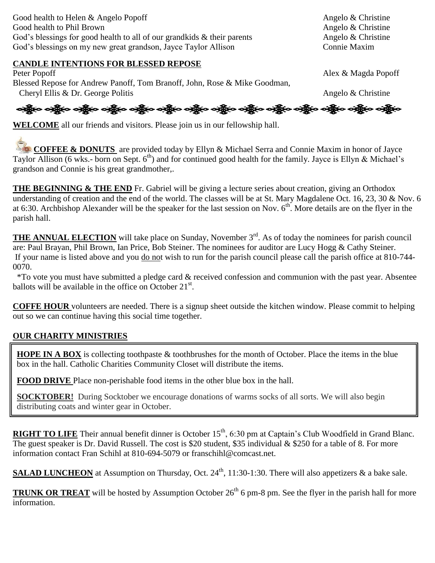Good health to Helen & Angelo Popoff Angelo & Christine Good health to Phil Brown Angelo & Christine God's blessings for good health to all of our grandkids  $\&$  their parents Angelo  $\&$  Christine God's blessings on my new great grandson, Jayce Taylor Allison Connie Maxim

#### **CANDLE INTENTIONS FOR BLESSED REPOSE**

Peter Popoff Alex & Magda Popoff Blessed Repose for Andrew Panoff, Tom Branoff, John, Rose & Mike Goodman, Cheryl Ellis & Dr. George Politis Angelo & Christine

ခရွို့လ ခရွို့လ ခရွို့လ ခရွို့လ ခရွို့လ ခရွို့လ ခရွို့လ ခရွို့လ ခရွို့လ ခရွို့လ ခရွို့လ ခရွို့လ ခရွို့လ ခရွို့လ

**WELCOME** all our friends and visitors. Please join us in our fellowship hall.

**COFFEE & DONUTS** are provided today by Ellyn & Michael Serra and Connie Maxim in honor of Jayce Taylor Allison (6 wks.- born on Sept.  $6<sup>th</sup>$ ) and for continued good health for the family. Jayce is Ellyn & Michael's grandson and Connie is his great grandmother,.

**THE BEGINNING & THE END** Fr. Gabriel will be giving a lecture series about creation, giving an Orthodox understanding of creation and the end of the world. The classes will be at St. Mary Magdalene Oct. 16, 23, 30 & Nov. 6 at 6:30. Archbishop Alexander will be the speaker for the last session on Nov.  $6<sup>th</sup>$ . More details are on the flyer in the parish hall.

**THE ANNUAL ELECTION** will take place on Sunday, November 3<sup>rd</sup>. As of today the nominees for parish council are: Paul Brayan, Phil Brown, Ian Price, Bob Steiner. The nominees for auditor are Lucy Hogg & Cathy Steiner. If your name is listed above and you do not wish to run for the parish council please call the parish office at 810-744- 0070.

 \*To vote you must have submitted a pledge card & received confession and communion with the past year. Absentee ballots will be available in the office on October  $21^{st}$ .

**COFFE HOUR** volunteers are needed. There is a signup sheet outside the kitchen window. Please commit to helping out so we can continue having this social time together.

#### **OUR CHARITY MINISTRIES**

**HOPE IN A BOX** is collecting toothpaste & toothbrushes for the month of October. Place the items in the blue box in the hall. Catholic Charities Community Closet will distribute the items.

**FOOD DRIVE** Place non-perishable food items in the other blue box in the hall.

**SOCKTOBER!** During Socktober we encourage donations of warms socks of all sorts. We will also begin distributing coats and winter gear in October.

**RIGHT TO LIFE** Their annual benefit dinner is October 15<sup>th</sup>, 6:30 pm at Captain's Club Woodfield in Grand Blanc. The guest speaker is Dr. David Russell. The cost is \$20 student, \$35 individual & \$250 for a table of 8. For more information contact Fran Schihl at 810-694-5079 or franschihl@comcast.net.

SALAD LUNCHEON at Assumption on Thursday, Oct. 24<sup>th</sup>, 11:30-1:30. There will also appetizers & a bake sale.

**TRUNK OR TREAT** will be hosted by Assumption October  $26<sup>th</sup> 6$  pm-8 pm. See the flyer in the parish hall for more information.